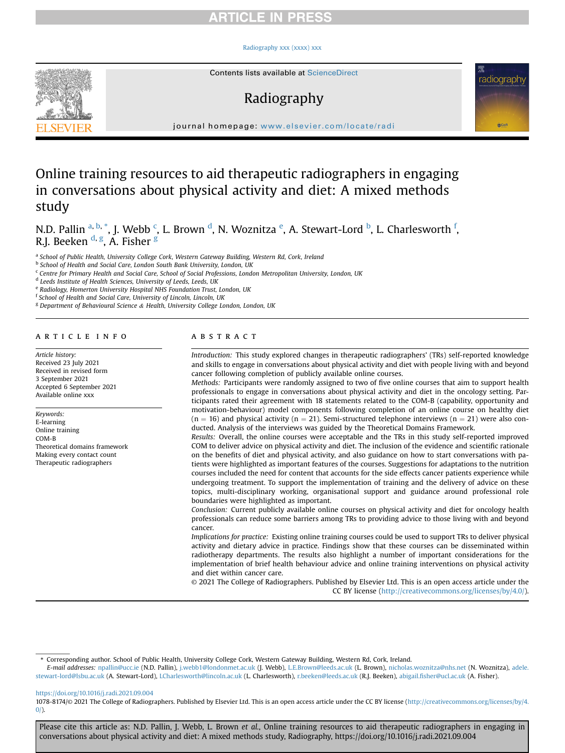# **RTICLE IN PRES**

### [Radiography xxx \(xxxx\) xxx](https://doi.org/10.1016/j.radi.2021.09.004)



Contents lists available at [ScienceDirect](www.sciencedirect.com/science/journal/10788174)

# Radiography



journal homepage: [www.elsevier.com/locate/radi](http://www.elsevier.com/locate/radi)

# Online training resources to aid therapeutic radiographers in engaging in conversations about physical activity and diet: A mixed methods study

N.D. Pallin <sup>a, [b,](#page-0-0)</sup> [\\*](#page-0-1), J. Webb <sup>[c](#page-0-2)</sup>, L. Brown <sup>[d](#page-0-3)</sup>, N. Woznitza <sup>[e](#page-0-4)</sup>, A. Stewart-Lord <sup>[b](#page-0-0)</sup>, L. Charlesworth <sup>[f](#page-0-5)</sup>, R.J. Beeken <sup>[d,](#page-0-3) [g](#page-0-6)</sup>, A. Fisher <sup>g</sup>

a School of Public Health, University College Cork, Western Gateway Building, Western Rd, Cork, Ireland

<span id="page-0-0"></span>**b** School of Health and Social Care, London South Bank University, London, UK

<span id="page-0-2"></span><sup>c</sup> Centre for Primary Health and Social Care, School of Social Professions, London Metropolitan University, London, UK

<span id="page-0-3"></span><sup>d</sup> Leeds Institute of Health Sciences, University of Leeds, Leeds, UK

<span id="page-0-4"></span><sup>e</sup> Radiology, Homerton University Hospital NHS Foundation Trust, London, UK

<span id="page-0-5"></span><sup>f</sup> School of Health and Social Care, University of Lincoln, Lincoln, UK

<span id="page-0-6"></span><sup>g</sup> Department of Behavioural Science & Health, University College London, London, UK

# article info

Article history: Received 23 July 2021 Received in revised form 3 September 2021 Accepted 6 September 2021 Available online xxx

Keywords: E-learning Online training COM-B Theoretical domains framework Making every contact count Therapeutic radiographers

# ABSTRACT

Introduction: This study explored changes in therapeutic radiographers' (TRs) self-reported knowledge and skills to engage in conversations about physical activity and diet with people living with and beyond cancer following completion of publicly available online courses.

Methods: Participants were randomly assigned to two of five online courses that aim to support health professionals to engage in conversations about physical activity and diet in the oncology setting. Participants rated their agreement with 18 statements related to the COM-B (capability, opportunity and motivation-behaviour) model components following completion of an online course on healthy diet  $(n = 16)$  and physical activity  $(n = 21)$ . Semi-structured telephone interviews  $(n = 21)$  were also conducted. Analysis of the interviews was guided by the Theoretical Domains Framework.

Results: Overall, the online courses were acceptable and the TRs in this study self-reported improved COM to deliver advice on physical activity and diet. The inclusion of the evidence and scientific rationale on the benefits of diet and physical activity, and also guidance on how to start conversations with patients were highlighted as important features of the courses. Suggestions for adaptations to the nutrition courses included the need for content that accounts for the side effects cancer patients experience while undergoing treatment. To support the implementation of training and the delivery of advice on these topics, multi-disciplinary working, organisational support and guidance around professional role boundaries were highlighted as important.

Conclusion: Current publicly available online courses on physical activity and diet for oncology health professionals can reduce some barriers among TRs to providing advice to those living with and beyond cancer.

Implications for practice: Existing online training courses could be used to support TRs to deliver physical activity and dietary advice in practice. Findings show that these courses can be disseminated within radiotherapy departments. The results also highlight a number of important considerations for the implementation of brief health behaviour advice and online training interventions on physical activity and diet within cancer care.

© 2021 The College of Radiographers. Published by Elsevier Ltd. This is an open access article under the CC BY license [\(http://creativecommons.org/licenses/by/4.0/](http://creativecommons.org/licenses/by/4.0/)).

<span id="page-0-1"></span>\* Corresponding author. School of Public Health, University College Cork, Western Gateway Building, Western Rd, Cork, Ireland.

E-mail addresses: [npallin@ucc.ie](mailto:npallin@ucc.ie) (N.D. Pallin), [j.webb1@londonmet.ac.uk](mailto:j.webb1@londonmet.ac.uk) (J. Webb), [L.E.Brown@leeds.ac.uk](mailto:L.E.Brown@leeds.ac.uk) (L. Brown), [nicholas.woznitza@nhs.net](mailto:nicholas.woznitza@nhs.net) (N. Woznitza), [adele.](mailto:adele.stewart-lord@lsbu.ac.uk) [stewart-lord@lsbu.ac.uk](mailto:adele.stewart-lord@lsbu.ac.uk) (A. Stewart-Lord), [LCharlesworth@lincoln.ac.uk](mailto:LCharlesworth@lincoln.ac.uk) (L. Charlesworth), [r.beeken@leeds.ac.uk](mailto:r.beeken@leeds.ac.uk) (R.J. Beeken), abigail.fi[sher@ucl.ac.uk](mailto:abigail.fisher@ucl.ac.uk) (A. Fisher).

<https://doi.org/10.1016/j.radi.2021.09.004>

1078-8174/© 2021 The College of Radiographers. Published by Elsevier Ltd. This is an open access article under the CC BY license ([http://creativecommons.org/licenses/by/4.](http://creativecommons.org/licenses/by/4.0/)  $0/$ ).

Please cite this article as: N.D. Pallin, J. Webb, L. Brown et al., Online training resources to aid therapeutic radiographers in engaging in conversations about physical activity and diet: A mixed methods study, Radiography, https://doi.org/10.1016/j.radi.2021.09.004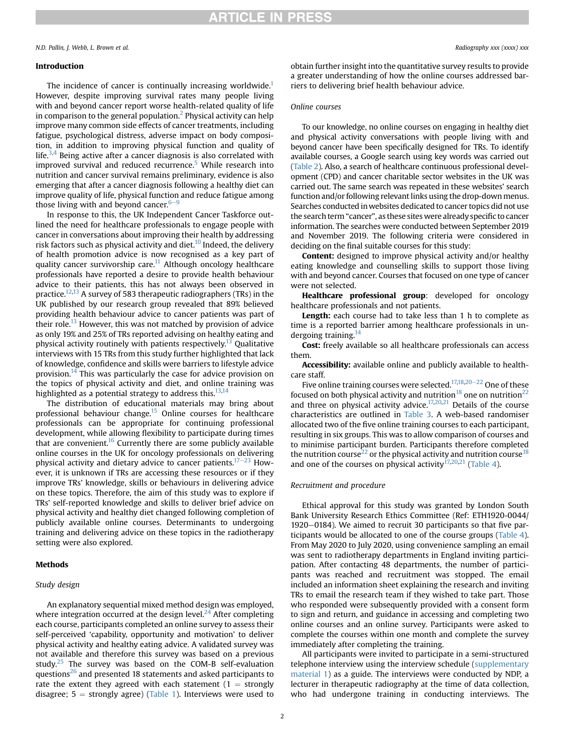## Introduction

The incidence of cancer is continually increasing worldwide.<sup>[1](#page-7-0)</sup> However, despite improving survival rates many people living with and beyond cancer report worse health-related quality of life in comparison to the general population.<sup>[2](#page-7-1)</sup> Physical activity can help improve many common side effects of cancer treatments, including fatigue, psychological distress, adverse impact on body composition, in addition to improving physical function and quality of life.<sup>[3](#page-7-2)[,4](#page-7-3)</sup> Being active after a cancer diagnosis is also correlated with improved survival and reduced recurrence.<sup>[5](#page-7-4)</sup> While research into nutrition and cancer survival remains preliminary, evidence is also emerging that after a cancer diagnosis following a healthy diet can improve quality of life, physical function and reduce fatigue among those living with and beyond cancer. $6-9$  $6-9$  $6-9$ 

In response to this, the UK Independent Cancer Taskforce outlined the need for healthcare professionals to engage people with cancer in conversations about improving their health by addressing risk factors such as physical activity and diet. $^{10}$  $^{10}$  $^{10}$  Indeed, the delivery of health promotion advice is now recognised as a key part of quality cancer survivorship care.<sup>11</sup> Although oncology healthcare professionals have reported a desire to provide health behaviour advice to their patients, this has not always been observed in practice[.12](#page-7-8)[,13](#page-7-9) A survey of 583 therapeutic radiographers (TRs) in the UK published by our research group revealed that 89% believed providing health behaviour advice to cancer patients was part of their role.<sup>[13](#page-7-9)</sup> However, this was not matched by provision of advice as only 19% and 25% of TRs reported advising on healthy eating and physical activity routinely with patients respectively.<sup>[13](#page-7-9)</sup> Qualitative interviews with 15 TRs from this study further highlighted that lack of knowledge, confidence and skills were barriers to lifestyle advice provision.<sup>[14](#page-7-10)</sup> This was particularly the case for advice provision on the topics of physical activity and diet, and online training was highlighted as a potential strategy to address this.<sup>13,[14](#page-7-10)</sup>

The distribution of educational materials may bring about professional behaviour change.<sup>[15](#page-7-11)</sup> Online courses for healthcare professionals can be appropriate for continuing professional development, while allowing flexibility to participate during times that are convenient.<sup>16</sup> Currently there are some publicly available online courses in the UK for oncology professionals on delivering physical activity and dietary advice to cancer patients.<sup>[17](#page-7-13)-[23](#page-7-13)</sup> However, it is unknown if TRs are accessing these resources or if they improve TRs' knowledge, skills or behaviours in delivering advice on these topics. Therefore, the aim of this study was to explore if TRs' self-reported knowledge and skills to deliver brief advice on physical activity and healthy diet changed following completion of publicly available online courses. Determinants to undergoing training and delivering advice on these topics in the radiotherapy setting were also explored.

## Methods

### Study design

An explanatory sequential mixed method design was employed, where integration occurred at the design level. $^{24}$  $^{24}$  $^{24}$  After completing each course, participants completed an online survey to assess their self-perceived 'capability, opportunity and motivation' to deliver physical activity and healthy eating advice. A validated survey was not available and therefore this survey was based on a previous study. $25$  The survey was based on the COM-B self-evaluation questions $^{26}$  $^{26}$  $^{26}$  and presented 18 statements and asked participants to rate the extent they agreed with each statement  $(1 =$  strongly disagree;  $5 =$  strongly agree) ([Table 1\)](#page-2-0). Interviews were used to

obtain further insight into the quantitative survey results to provide a greater understanding of how the online courses addressed barriers to delivering brief health behaviour advice.

## Online courses

To our knowledge, no online courses on engaging in healthy diet and physical activity conversations with people living with and beyond cancer have been specifically designed for TRs. To identify available courses, a Google search using key words was carried out ([Table 2\)](#page-2-1). Also, a search of healthcare continuous professional development (CPD) and cancer charitable sector websites in the UK was carried out. The same search was repeated in these websites' search function and/or following relevant links using the drop-down menus. Searches conducted inwebsites dedicated to cancer topics did not use the search term "cancer", as these sites were already specific to cancer information. The searches were conducted between September 2019 and November 2019. The following criteria were considered in deciding on the final suitable courses for this study:

Content: designed to improve physical activity and/or healthy eating knowledge and counselling skills to support those living with and beyond cancer. Courses that focused on one type of cancer were not selected.

Healthcare professional group: developed for oncology healthcare professionals and not patients.

Length: each course had to take less than 1 h to complete as time is a reported barrier among healthcare professionals in undergoing training.<sup>14</sup>

Cost: freely available so all healthcare professionals can access them.

Accessibility: available online and publicly available to healthcare staff.

Five online training courses were selected.<sup>17,[18](#page-7-14),[20](#page-8-3)-[22](#page-8-3)</sup> One of these focused on both physical activity and nutrition<sup>[18](#page-7-14)</sup> one on nutrition<sup>[22](#page-8-4)</sup> and three on physical activity advice.<sup>17,[20,](#page-8-3)[21](#page-8-5)</sup> Details of the course characteristics are outlined in [Table 3.](#page-3-0) A web-based randomiser allocated two of the five online training courses to each participant, resulting in six groups. This was to allow comparison of courses and to minimise participant burden. Participants therefore completed the nutrition course<sup>[22](#page-8-4)</sup> or the physical activity and nutrition course<sup>[18](#page-7-14)</sup> and one of the courses on physical activity<sup>[17,](#page-7-13)[20,](#page-8-3)[21](#page-8-5)</sup> ([Table 4\)](#page-3-1).

## Recruitment and procedure

Ethical approval for this study was granted by London South Bank University Research Ethics Committee (Ref: ETH1920-0044/  $1920-0184$ ). We aimed to recruit 30 participants so that five participants would be allocated to one of the course groups ([Table 4\)](#page-3-1). From May 2020 to July 2020, using convenience sampling an email was sent to radiotherapy departments in England inviting participation. After contacting 48 departments, the number of participants was reached and recruitment was stopped. The email included an information sheet explaining the research and inviting TRs to email the research team if they wished to take part. Those who responded were subsequently provided with a consent form to sign and return, and guidance in accessing and completing two online courses and an online survey. Participants were asked to complete the courses within one month and complete the survey immediately after completing the training.

All participants were invited to participate in a semi-structured telephone interview using the interview schedule (supplementary material 1) as a guide. The interviews were conducted by NDP, a lecturer in therapeutic radiography at the time of data collection, who had undergone training in conducting interviews. The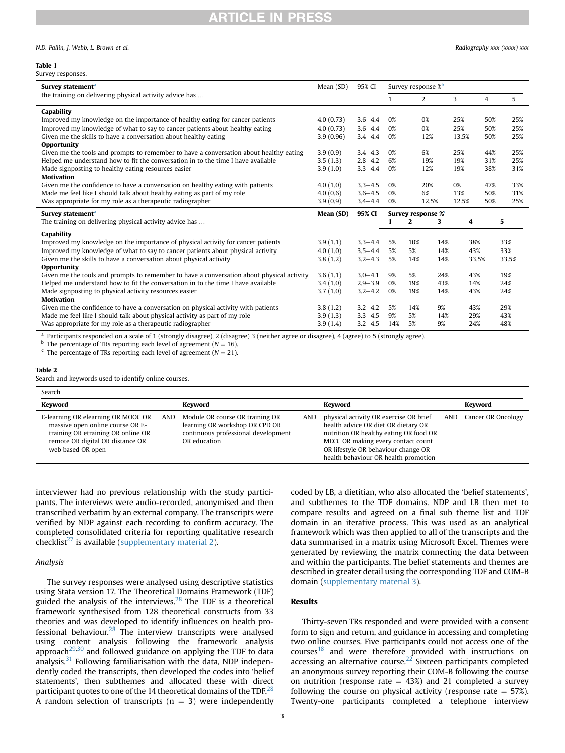# **IRTICLE IN PRESS**

#### <span id="page-2-0"></span>Table 1

| N.D. Pallin, J. Webb, L. Brown et al. | Radiography xxx (xxxx) xxx |
|---------------------------------------|----------------------------|
|---------------------------------------|----------------------------|

| Survey statement <sup>a</sup>                                                             | Mean (SD) | 95% CI      | Survey response % <sup>b</sup> |                |     |       |                |       |
|-------------------------------------------------------------------------------------------|-----------|-------------|--------------------------------|----------------|-----|-------|----------------|-------|
| the training on delivering physical activity advice has                                   |           |             | 1                              | $\overline{2}$ |     | 3     | $\overline{4}$ | 5     |
| Capability                                                                                |           |             |                                |                |     |       |                |       |
| Improved my knowledge on the importance of healthy eating for cancer patients             |           | $3.6 - 4.4$ | 0%                             | 0%             |     | 25%   | 50%            | 25%   |
| Improved my knowledge of what to say to cancer patients about healthy eating              |           | $3.6 - 4.4$ | 0%                             | 0%             |     | 25%   | 50%            | 25%   |
| Given me the skills to have a conversation about healthy eating                           | 3.9(0.96) | $3.4 - 4.4$ | 0%                             | 12%            |     | 13.5% | 50%            | 25%   |
| <b>Opportunity</b>                                                                        |           |             |                                |                |     |       |                |       |
| Given me the tools and prompts to remember to have a conversation about healthy eating    | 3.9(0.9)  | $3.4 - 4.3$ | 0%                             | 6%             |     | 25%   | 44%            | 25%   |
| Helped me understand how to fit the conversation in to the time I have available          | 3.5(1.3)  | $2.8 - 4.2$ | 6%                             | 19%            |     | 19%   | 31%            | 25%   |
| Made signposting to healthy eating resources easier                                       | 3.9(1.0)  | $3.3 - 4.4$ | 0%<br>12%                      |                |     | 19%   | 38%            | 31%   |
| <b>Motivation</b>                                                                         |           |             |                                |                |     |       |                |       |
| Given me the confidence to have a conversation on healthy eating with patients            | 4.0(1.0)  | $3.3 - 4.5$ | 0%<br>20%                      |                |     | 0%    | 47%            | 33%   |
| Made me feel like I should talk about healthy eating as part of my role                   | 4.0(0.6)  | $3.6 - 4.5$ | 6%<br>0%                       |                | 13% | 50%   | 31%            |       |
| Was appropriate for my role as a therapeutic radiographer                                 | 3.9(0.9)  | $3.4 - 4.4$ | 0%<br>12.5%                    |                |     | 12.5% | 50%            | 25%   |
| Survey statement <sup>a</sup>                                                             | Mean (SD) | 95% CI      | Survey response % <sup>c</sup> |                |     |       |                |       |
| The training on delivering physical activity advice has                                   |           |             | 1                              | $\mathbf{2}$   | 3   | 4     |                | 5     |
| Capability                                                                                |           |             |                                |                |     |       |                |       |
| Improved my knowledge on the importance of physical activity for cancer patients          | 3.9(1.1)  | $3.3 - 4.4$ | 5%                             | 10%            | 14% | 38%   |                | 33%   |
| Improved my knowledge of what to say to cancer patients about physical activity           |           | $3.5 - 4.4$ | 5%                             | 5%             | 14% | 43%   |                | 33%   |
| Given me the skills to have a conversation about physical activity                        |           | $3.2 - 4.3$ | 5%                             | 14%            | 14% | 33.5% |                | 33.5% |
| <b>Opportunity</b>                                                                        |           |             |                                |                |     |       |                |       |
| Given me the tools and prompts to remember to have a conversation about physical activity |           | $3.0 - 4.1$ | 9%                             | 5%             | 24% | 43%   |                | 19%   |
| Helped me understand how to fit the conversation in to the time I have available          |           | $2.9 - 3.9$ | $0\%$                          | 19%            | 43% | 14%   |                | 24%   |
| Made signposting to physical activity resources easier                                    |           | $3.2 - 4.2$ | 0%                             | 19%            | 14% | 43%   |                | 24%   |
| <b>Motivation</b>                                                                         |           |             |                                |                |     |       |                |       |
| Given me the confidence to have a conversation on physical activity with patients         | 3.8(1.2)  | $3.2 - 4.2$ | 5%                             | 14%            | 9%  | 43%   |                | 29%   |
| Made me feel like I should talk about physical activity as part of my role                | 3.9(1.3)  | $3.3 - 4.5$ | 9%                             | 5%             | 14% | 29%   |                | 43%   |

Was appropriate for my role as a therapeutic radiographer 3.9 (1.4) 3.2–4.5 14% 5% 9% 24% 48%

<span id="page-2-2"></span><sup>a</sup> Participants responded on a scale of 1 (strongly disagree), 2 (disagree) 3 (neither agree or disagree), 4 (agree) to 5 (strongly agree).<br><sup>b</sup> The percentage of TRs reporting each level of agreement ( $N = 16$ ).

<span id="page-2-3"></span>

<span id="page-2-4"></span><sup>c</sup> The percentage of TRs reporting each level of agreement ( $N = 21$ ).

## <span id="page-2-1"></span>Table 2

Search and keywords used to identify online courses.

| Search                                                                                                                                                                |     |                                                                                                                          |     |                                                                                                                                                                                                                                              |     |                    |
|-----------------------------------------------------------------------------------------------------------------------------------------------------------------------|-----|--------------------------------------------------------------------------------------------------------------------------|-----|----------------------------------------------------------------------------------------------------------------------------------------------------------------------------------------------------------------------------------------------|-----|--------------------|
| <b>Keyword</b>                                                                                                                                                        |     | Kevword                                                                                                                  |     | Kevword                                                                                                                                                                                                                                      |     | Kevword            |
| E-learning OR elearning OR MOOC OR<br>massive open online course OR E-<br>training OR etraining OR online OR<br>remote OR digital OR distance OR<br>web based OR open | AND | Module OR course OR training OR<br>learning OR workshop OR CPD OR<br>continuous professional development<br>OR education | AND | physical activity OR exercise OR brief<br>health advice OR diet OR dietary OR<br>nutrition OR healthy eating OR food OR<br>MECC OR making every contact count<br>OR lifestyle OR behaviour change OR<br>health behaviour OR health promotion | AND | Cancer OR Oncology |

interviewer had no previous relationship with the study participants. The interviews were audio-recorded, anonymised and then transcribed verbatim by an external company. The transcripts were verified by NDP against each recording to confirm accuracy. The completed consolidated criteria for reporting qualitative research checklist<sup>[27](#page-8-6)</sup> is available (supplementary material 2).

## Analysis

The survey responses were analysed using descriptive statistics using Stata version 17. The Theoretical Domains Framework (TDF) guided the analysis of the interviews.[28](#page-8-7) The TDF is a theoretical framework synthesised from 128 theoretical constructs from 33 theories and was developed to identify influences on health professional behaviour. $^{28}$  $^{28}$  $^{28}$  The interview transcripts were analysed using content analysis following the framework analysis approach $^{29,30}$  $^{29,30}$  $^{29,30}$  $^{29,30}$  and followed guidance on applying the TDF to data analysis. $31$  Following familiarisation with the data, NDP independently coded the transcripts, then developed the codes into 'belief statements', then subthemes and allocated these with direct participant quotes to one of the 14 theoretical domains of the TDF.<sup>[28](#page-8-7)</sup> A random selection of transcripts ( $n = 3$ ) were independently coded by LB, a dietitian, who also allocated the 'belief statements', and subthemes to the TDF domains. NDP and LB then met to compare results and agreed on a final sub theme list and TDF domain in an iterative process. This was used as an analytical framework which was then applied to all of the transcripts and the data summarised in a matrix using Microsoft Excel. Themes were generated by reviewing the matrix connecting the data between and within the participants. The belief statements and themes are described in greater detail using the corresponding TDF and COM-B domain (supplementary material 3).

# Results

Thirty-seven TRs responded and were provided with a consent form to sign and return, and guidance in accessing and completing two online courses. Five participants could not access one of the  $course<sup>18</sup>$  $course<sup>18</sup>$  $course<sup>18</sup>$  and were therefore provided with instructions on accessing an alternative course.<sup>[22](#page-8-4)</sup> Sixteen participants completed an anonymous survey reporting their COM-B following the course on nutrition (response rate  $= 43\%$ ) and 21 completed a survey following the course on physical activity (response rate  $=$  57%). Twenty-one participants completed a telephone interview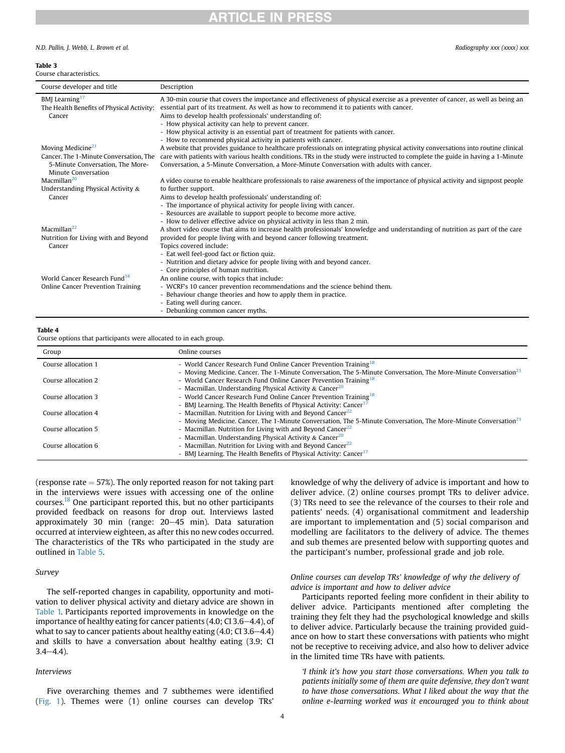# **ARTICLE IN PRESS**

## N.D. Pallin, J. Webb, L. Brown et al. Radiography xxx (xxxx) xxx

#### <span id="page-3-0"></span>Table 3

| Course characteristics.                                                 |                                                                                                                                                                                                                             |  |  |  |  |  |
|-------------------------------------------------------------------------|-----------------------------------------------------------------------------------------------------------------------------------------------------------------------------------------------------------------------------|--|--|--|--|--|
| Course developer and title                                              | Description                                                                                                                                                                                                                 |  |  |  |  |  |
| BMJ Learning <sup>17</sup><br>The Health Benefits of Physical Activity: | A 30-min course that covers the importance and effectiveness of physical exercise as a preventer of cancer, as well as being an<br>essential part of its treatment. As well as how to recommend it to patients with cancer. |  |  |  |  |  |
| Cancer                                                                  | Aims to develop health professionals' understanding of:                                                                                                                                                                     |  |  |  |  |  |
|                                                                         | - How physical activity can help to prevent cancer.                                                                                                                                                                         |  |  |  |  |  |
|                                                                         | - How physical activity is an essential part of treatment for patients with cancer.<br>- How to recommend physical activity in patients with cancer.                                                                        |  |  |  |  |  |
| Moving Medicine <sup>21</sup>                                           | A website that provides guidance to healthcare professionals on integrating physical activity conversations into routine clinical                                                                                           |  |  |  |  |  |
| Cancer. The 1-Minute Conversation. The                                  | care with patients with various health conditions. TRs in the study were instructed to complete the guide in having a 1-Minute                                                                                              |  |  |  |  |  |
| 5-Minute Conversation. The More-                                        | Conversation, a 5-Minute Conversation, a More-Minute Conversation with adults with cancer.                                                                                                                                  |  |  |  |  |  |
| Minute Conversation                                                     |                                                                                                                                                                                                                             |  |  |  |  |  |
| Macmillan $^{20}$                                                       | A video course to enable healthcare professionals to raise awareness of the importance of physical activity and signpost people                                                                                             |  |  |  |  |  |
| Understanding Physical Activity &                                       | to further support.                                                                                                                                                                                                         |  |  |  |  |  |
| Cancer                                                                  | Aims to develop health professionals' understanding of:                                                                                                                                                                     |  |  |  |  |  |
|                                                                         | - The importance of physical activity for people living with cancer.<br>- Resources are available to support people to become more active.                                                                                  |  |  |  |  |  |
|                                                                         | - How to deliver effective advice on physical activity in less than 2 min.                                                                                                                                                  |  |  |  |  |  |
| Macmillan $^{22}$                                                       | A short video course that aims to increase health professionals' knowledge and understanding of nutrition as part of the care                                                                                               |  |  |  |  |  |
| Nutrition for Living with and Beyond                                    | provided for people living with and beyond cancer following treatment.                                                                                                                                                      |  |  |  |  |  |
| Cancer                                                                  | Topics covered include:                                                                                                                                                                                                     |  |  |  |  |  |
|                                                                         | - Eat well feel-good fact or fiction quiz.                                                                                                                                                                                  |  |  |  |  |  |
|                                                                         | - Nutrition and dietary advice for people living with and beyond cancer.                                                                                                                                                    |  |  |  |  |  |
|                                                                         | - Core principles of human nutrition.                                                                                                                                                                                       |  |  |  |  |  |
| World Cancer Research Fund <sup>18</sup>                                | An online course, with topics that include:                                                                                                                                                                                 |  |  |  |  |  |
| Online Cancer Prevention Training                                       | - WCRF's 10 cancer prevention recommendations and the science behind them.                                                                                                                                                  |  |  |  |  |  |
|                                                                         | - Behaviour change theories and how to apply them in practice.<br>- Eating well during cancer.                                                                                                                              |  |  |  |  |  |
|                                                                         | - Debunking common cancer myths.                                                                                                                                                                                            |  |  |  |  |  |
|                                                                         |                                                                                                                                                                                                                             |  |  |  |  |  |

#### <span id="page-3-1"></span>Table 4

Course options that participants were allocated to in each group.

| Group               | Online courses                                                                                                              |
|---------------------|-----------------------------------------------------------------------------------------------------------------------------|
| Course allocation 1 | - World Cancer Research Fund Online Cancer Prevention Training <sup>18</sup>                                                |
|                     | - Moving Medicine. Cancer. The 1-Minute Conversation, The 5-Minute Conversation, The More-Minute Conversation <sup>21</sup> |
| Course allocation 2 | - World Cancer Research Fund Online Cancer Prevention Training <sup>18</sup>                                                |
|                     | - Macmillan. Understanding Physical Activity & Cancer <sup>20</sup>                                                         |
| Course allocation 3 | - World Cancer Research Fund Online Cancer Prevention Training <sup>18</sup>                                                |
|                     | - BMJ Learning. The Health Benefits of Physical Activity: Cancer <sup>17</sup>                                              |
| Course allocation 4 | - Macmillan. Nutrition for Living with and Beyond Cancer <sup>22</sup>                                                      |
|                     | - Moving Medicine. Cancer. The 1-Minute Conversation, The 5-Minute Conversation, The More-Minute Conversation <sup>21</sup> |
| Course allocation 5 | - Macmillan. Nutrition for Living with and Beyond Cancer <sup>22</sup>                                                      |
|                     | - Macmillan, Understanding Physical Activity & Cancer <sup>20</sup>                                                         |
| Course allocation 6 | - Macmillan, Nutrition for Living with and Beyond Cancer <sup>22</sup>                                                      |
|                     | - BMJ Learning. The Health Benefits of Physical Activity: Cancer <sup>17</sup>                                              |

(response rate  $=$  57%). The only reported reason for not taking part in the interviews were issues with accessing one of the online courses.<sup>[18](#page-7-14)</sup> One participant reported this, but no other participants provided feedback on reasons for drop out. Interviews lasted approximately 30 min (range:  $20-45$  min). Data saturation occurred at interview eighteen, as after this no new codes occurred. The characteristics of the TRs who participated in the study are outlined in [Table 5](#page-4-0).

# Survey

The self-reported changes in capability, opportunity and motivation to deliver physical activity and dietary advice are shown in [Table 1.](#page-2-0) Participants reported improvements in knowledge on the importance of healthy eating for cancer patients  $(4.0; C13.6-4.4)$ , of what to say to cancer patients about healthy eating  $(4.0; C13.6-4.4)$ and skills to have a conversation about healthy eating (3.9; CI  $3.4 - 4.4$ ).

## Interviews

Five overarching themes and 7 subthemes were identified ([Fig. 1](#page-4-1)). Themes were (1) online courses can develop TRs'

knowledge of why the delivery of advice is important and how to deliver advice. (2) online courses prompt TRs to deliver advice. (3) TRs need to see the relevance of the courses to their role and patients' needs. (4) organisational commitment and leadership are important to implementation and (5) social comparison and modelling are facilitators to the delivery of advice. The themes and sub themes are presented below with supporting quotes and the participant's number, professional grade and job role.

# Online courses can develop TRs' knowledge of why the delivery of advice is important and how to deliver advice

Participants reported feeling more confident in their ability to deliver advice. Participants mentioned after completing the training they felt they had the psychological knowledge and skills to deliver advice. Particularly because the training provided guidance on how to start these conversations with patients who might not be receptive to receiving advice, and also how to deliver advice in the limited time TRs have with patients.

'I think it's how you start those conversations. When you talk to patients initially some of them are quite defensive, they don't want to have those conversations. What I liked about the way that the online e-learning worked was it encouraged you to think about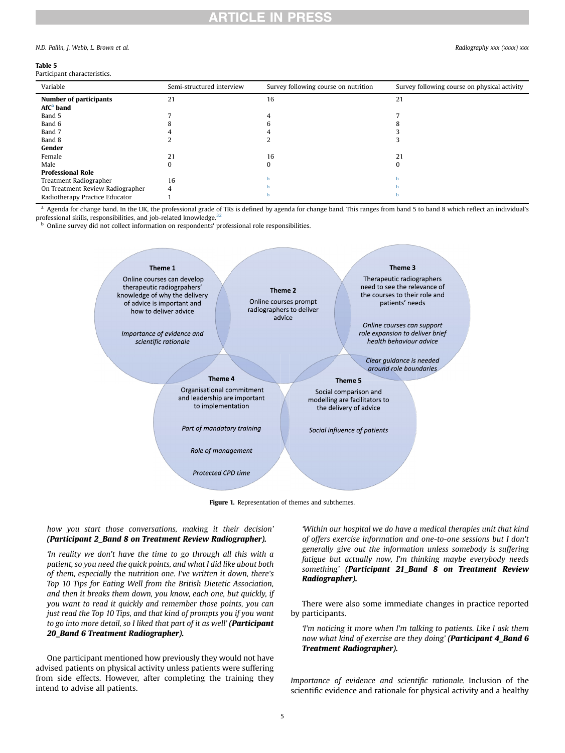# **ARTICLE IN PRESS**

#### N.D. Pallin, J. Webb, L. Brown et al. Radiography xxx (xxxx) xxx

### <span id="page-4-0"></span>Table 5

| Variable                         | Semi-structured interview | Survey following course on nutrition | Survey following course on physical activity |
|----------------------------------|---------------------------|--------------------------------------|----------------------------------------------|
| <b>Number of participants</b>    | 21                        | 16                                   | 21                                           |
| AfC <sup>a</sup> band            |                           |                                      |                                              |
| Band 5                           |                           |                                      |                                              |
| Band 6                           |                           |                                      |                                              |
| Band 7                           |                           |                                      |                                              |
| Band 8                           |                           |                                      |                                              |
| Gender                           |                           |                                      |                                              |
| Female                           | 21                        | 16                                   | 21                                           |
| Male                             | 0                         | 0                                    | 0                                            |
| <b>Professional Role</b>         |                           |                                      |                                              |
| Treatment Radiographer           | 16                        |                                      |                                              |
| On Treatment Review Radiographer |                           |                                      |                                              |
| Radiotherapy Practice Educator   |                           |                                      |                                              |

<span id="page-4-2"></span>a Agenda for change band. In the UK, the professional grade of TRs is defined by agenda for change band. This ranges from band 5 to band 8 which reflect an individual's professional skills, responsibilities, and job-related knowledge.<sup>[32](#page-8-11)</sup>

<span id="page-4-3"></span><span id="page-4-1"></span>**b** Online survey did not collect information on respondents' professional role responsibilities.



Figure 1. Representation of themes and subthemes.

## how you start those conversations, making it their decision' (Participant 2\_Band 8 on Treatment Review Radiographer).

'In reality we don't have the time to go through all this with a patient, so you need the quick points, and what I did like about both of them, especially the nutrition one. I've written it down, there's Top 10 Tips for Eating Well from the British Dietetic Association, and then it breaks them down, you know, each one, but quickly, if you want to read it quickly and remember those points, you can just read the Top 10 Tips, and that kind of prompts you if you want to go into more detail, so I liked that part of it as well' (Participant 20\_Band 6 Treatment Radiographer).

One participant mentioned how previously they would not have advised patients on physical activity unless patients were suffering from side effects. However, after completing the training they intend to advise all patients.

'Within our hospital we do have a medical therapies unit that kind of offers exercise information and one-to-one sessions but I don't generally give out the information unless somebody is suffering fatigue but actually now, I'm thinking maybe everybody needs something' (Participant 21\_Band 8 on Treatment Review Radiographer).

There were also some immediate changes in practice reported by participants.

'I'm noticing it more when I'm talking to patients. Like I ask them now what kind of exercise are they doing' (Participant 4\_Band 6 Treatment Radiographer).

Importance of evidence and scientific rationale. Inclusion of the scientific evidence and rationale for physical activity and a healthy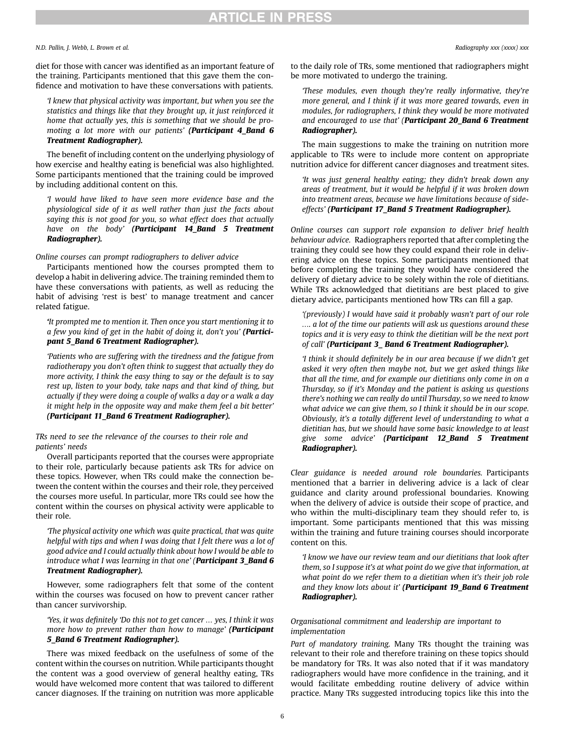# **ARTICLE IN PRESS**

N.D. Pallin, J. Webb, L. Brown et al. et al. et al. et al. et al. et al. et al. et al. Radiography xxx (xxxx) xxx

diet for those with cancer was identified as an important feature of the training. Participants mentioned that this gave them the confidence and motivation to have these conversations with patients.

'I knew that physical activity was important, but when you see the statistics and things like that they brought up, it just reinforced it home that actually yes, this is something that we should be promoting a lot more with our patients' (Participant 4\_Band 6 Treatment Radiographer).

The benefit of including content on the underlying physiology of how exercise and healthy eating is beneficial was also highlighted. Some participants mentioned that the training could be improved by including additional content on this.

'I would have liked to have seen more evidence base and the physiological side of it as well rather than just the facts about saying this is not good for you, so what effect does that actually have on the body' (Participant 14\_Band 5 Treatment Radiographer).

Online courses can prompt radiographers to deliver advice

Participants mentioned how the courses prompted them to develop a habit in delivering advice. The training reminded them to have these conversations with patients, as well as reducing the habit of advising 'rest is best' to manage treatment and cancer related fatigue.

'It prompted me to mention it. Then once you start mentioning it to a few you kind of get in the habit of doing it, don't you' (Participant 5 Band 6 Treatment Radiographer).

'Patients who are suffering with the tiredness and the fatigue from radiotherapy you don't often think to suggest that actually they do more activity, I think the easy thing to say or the default is to say rest up, listen to your body, take naps and that kind of thing, but actually if they were doing a couple of walks a day or a walk a day it might help in the opposite way and make them feel a bit better' (Participant 11\_Band 6 Treatment Radiographer).

TRs need to see the relevance of the courses to their role and patients' needs

Overall participants reported that the courses were appropriate to their role, particularly because patients ask TRs for advice on these topics. However, when TRs could make the connection between the content within the courses and their role, they perceived the courses more useful. In particular, more TRs could see how the content within the courses on physical activity were applicable to their role.

'The physical activity one which was quite practical, that was quite helpful with tips and when I was doing that I felt there was a lot of good advice and I could actually think about how I would be able to introduce what I was learning in that one' (Participant 3\_Band 6 Treatment Radiographer).

However, some radiographers felt that some of the content within the courses was focused on how to prevent cancer rather than cancer survivorship.

'Yes, it was definitely 'Do this not to get cancer … yes, I think it was more how to prevent rather than how to manage' (Participant 5\_Band 6 Treatment Radiographer).

There was mixed feedback on the usefulness of some of the content within the courses on nutrition. While participants thought the content was a good overview of general healthy eating, TRs would have welcomed more content that was tailored to different cancer diagnoses. If the training on nutrition was more applicable

to the daily role of TRs, some mentioned that radiographers might be more motivated to undergo the training.

'These modules, even though they're really informative, they're more general, and I think if it was more geared towards, even in modules, for radiographers, I think they would be more motivated and encouraged to use that' (Participant 20\_Band 6 Treatment Radiographer).

The main suggestions to make the training on nutrition more applicable to TRs were to include more content on appropriate nutrition advice for different cancer diagnoses and treatment sites.

'It was just general healthy eating; they didn't break down any areas of treatment, but it would be helpful if it was broken down into treatment areas, because we have limitations because of sideeffects' (Participant 17\_Band 5 Treatment Radiographer).

Online courses can support role expansion to deliver brief health behaviour advice. Radiographers reported that after completing the training they could see how they could expand their role in delivering advice on these topics. Some participants mentioned that before completing the training they would have considered the delivery of dietary advice to be solely within the role of dietitians. While TRs acknowledged that dietitians are best placed to give dietary advice, participants mentioned how TRs can fill a gap.

'(previously) I would have said it probably wasn't part of our role …. a lot of the time our patients will ask us questions around these topics and it is very easy to think the dietitian will be the next port of call' (Participant 3\_ Band 6 Treatment Radiographer).

'I think it should definitely be in our area because if we didn't get asked it very often then maybe not, but we get asked things like that all the time, and for example our dietitians only come in on a Thursday, so if it's Monday and the patient is asking us questions there's nothing we can really do until Thursday, so we need to know what advice we can give them, so I think it should be in our scope. Obviously, it's a totally different level of understanding to what a dietitian has, but we should have some basic knowledge to at least give some advice' (Participant 12\_Band 5 Treatment Radiographer).

Clear guidance is needed around role boundaries. Participants mentioned that a barrier in delivering advice is a lack of clear guidance and clarity around professional boundaries. Knowing when the delivery of advice is outside their scope of practice, and who within the multi-disciplinary team they should refer to, is important. Some participants mentioned that this was missing within the training and future training courses should incorporate content on this.

'I know we have our review team and our dietitians that look after them, so I suppose it's at what point do we give that information, at what point do we refer them to a dietitian when it's their job role and they know lots about it' (Participant 19\_Band 6 Treatment Radiographer).

## Organisational commitment and leadership are important to implementation

Part of mandatory training. Many TRs thought the training was relevant to their role and therefore training on these topics should be mandatory for TRs. It was also noted that if it was mandatory radiographers would have more confidence in the training, and it would facilitate embedding routine delivery of advice within practice. Many TRs suggested introducing topics like this into the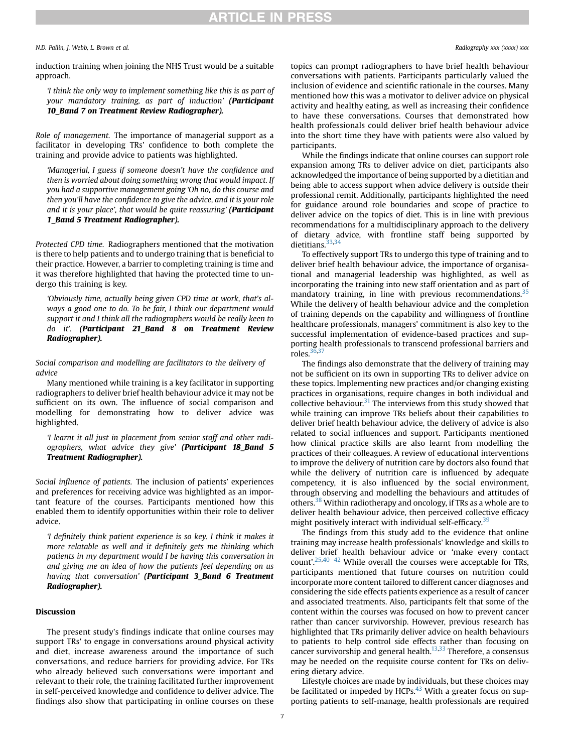# **RTICLE IN PRESS**

N.D. Pallin, J. Webb, L. Brown et al. Radiography xxx (xxxx) xxx

induction training when joining the NHS Trust would be a suitable approach.

'I think the only way to implement something like this is as part of your mandatory training, as part of induction' (Participant 10 Band 7 on Treatment Review Radiographer).

Role of management. The importance of managerial support as a facilitator in developing TRs' confidence to both complete the training and provide advice to patients was highlighted.

'Managerial, I guess if someone doesn't have the confidence and then is worried about doing something wrong that would impact. If you had a supportive management going 'Oh no, do this course and then you'll have the confidence to give the advice, and it is your role and it is your place', that would be quite reassuring' (Participant 1\_Band 5 Treatment Radiographer).

Protected CPD time. Radiographers mentioned that the motivation is there to help patients and to undergo training that is beneficial to their practice. However, a barrier to completing training is time and it was therefore highlighted that having the protected time to undergo this training is key.

'Obviously time, actually being given CPD time at work, that's always a good one to do. To be fair, I think our department would support it and I think all the radiographers would be really keen to do it'. (Participant 21 Band 8 on Treatment Review Radiographer).

Social comparison and modelling are facilitators to the delivery of advice

Many mentioned while training is a key facilitator in supporting radiographers to deliver brief health behaviour advice it may not be sufficient on its own. The influence of social comparison and modelling for demonstrating how to deliver advice was highlighted.

'I learnt it all just in placement from senior staff and other radiographers, what advice they give' (Participant 18\_Band 5 Treatment Radiographer).

Social influence of patients. The inclusion of patients' experiences and preferences for receiving advice was highlighted as an important feature of the courses. Participants mentioned how this enabled them to identify opportunities within their role to deliver advice.

'I definitely think patient experience is so key. I think it makes it more relatable as well and it definitely gets me thinking which patients in my department would I be having this conversation in and giving me an idea of how the patients feel depending on us having that conversation' (Participant 3\_Band 6 Treatment Radiographer).

## Discussion

The present study's findings indicate that online courses may support TRs' to engage in conversations around physical activity and diet, increase awareness around the importance of such conversations, and reduce barriers for providing advice. For TRs who already believed such conversations were important and relevant to their role, the training facilitated further improvement in self-perceived knowledge and confidence to deliver advice. The findings also show that participating in online courses on these

topics can prompt radiographers to have brief health behaviour conversations with patients. Participants particularly valued the inclusion of evidence and scientific rationale in the courses. Many mentioned how this was a motivator to deliver advice on physical activity and healthy eating, as well as increasing their confidence to have these conversations. Courses that demonstrated how health professionals could deliver brief health behaviour advice into the short time they have with patients were also valued by participants.

While the findings indicate that online courses can support role expansion among TRs to deliver advice on diet, participants also acknowledged the importance of being supported by a dietitian and being able to access support when advice delivery is outside their professional remit. Additionally, participants highlighted the need for guidance around role boundaries and scope of practice to deliver advice on the topics of diet. This is in line with previous recommendations for a multidisciplinary approach to the delivery of dietary advice, with frontline staff being supported by dietitians.<sup>[33](#page-8-12)[,34](#page-8-13)</sup>

To effectively support TRs to undergo this type of training and to deliver brief health behaviour advice, the importance of organisational and managerial leadership was highlighted, as well as incorporating the training into new staff orientation and as part of mandatory training, in line with previous recommendations.<sup>[35](#page-8-14)</sup> While the delivery of health behaviour advice and the completion of training depends on the capability and willingness of frontline healthcare professionals, managers' commitment is also key to the successful implementation of evidence-based practices and supporting health professionals to transcend professional barriers and roles. $36,37$  $36,37$ 

The findings also demonstrate that the delivery of training may not be sufficient on its own in supporting TRs to deliver advice on these topics. Implementing new practices and/or changing existing practices in organisations, require changes in both individual and collective behaviour. $31$  The interviews from this study showed that while training can improve TRs beliefs about their capabilities to deliver brief health behaviour advice, the delivery of advice is also related to social influences and support. Participants mentioned how clinical practice skills are also learnt from modelling the practices of their colleagues. A review of educational interventions to improve the delivery of nutrition care by doctors also found that while the delivery of nutrition care is influenced by adequate competency, it is also influenced by the social environment, through observing and modelling the behaviours and attitudes of others.<sup>[38](#page-8-17)</sup> Within radiotherapy and oncology, if TRs as a whole are to deliver health behaviour advice, then perceived collective efficacy might positively interact with individual self-efficacy. $3<sup>3</sup>$ 

The findings from this study add to the evidence that online training may increase health professionals' knowledge and skills to deliver brief health behaviour advice or 'make every contact count'.<sup>[25](#page-8-1)[,40](#page-8-19)–[42](#page-8-19)</sup> While overall the courses were acceptable for TRs, participants mentioned that future courses on nutrition could incorporate more content tailored to different cancer diagnoses and considering the side effects patients experience as a result of cancer and associated treatments. Also, participants felt that some of the content within the courses was focused on how to prevent cancer rather than cancer survivorship. However, previous research has highlighted that TRs primarily deliver advice on health behaviours to patients to help control side effects rather than focusing on cancer survivorship and general health. $13,33$  $13,33$  Therefore, a consensus may be needed on the requisite course content for TRs on delivering dietary advice.

Lifestyle choices are made by individuals, but these choices may be facilitated or impeded by HCPs. $43$  With a greater focus on supporting patients to self-manage, health professionals are required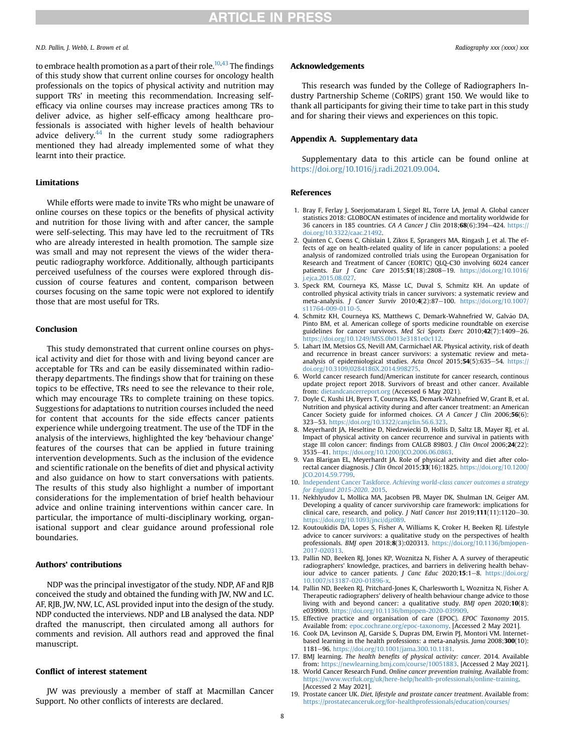## N.D. Pallin, J. Webb, L. Brown et al. Radiography xxx (xxxx) xxx

to embrace health promotion as a part of their role.<sup>10,[43](#page-8-20)</sup> The findings of this study show that current online courses for oncology health professionals on the topics of physical activity and nutrition may support TRs' in meeting this recommendation. Increasing selfefficacy via online courses may increase practices among TRs to deliver advice, as higher self-efficacy among healthcare professionals is associated with higher levels of health behaviour advice delivery. $44$  In the current study some radiographers mentioned they had already implemented some of what they learnt into their practice.

## Limitations

While efforts were made to invite TRs who might be unaware of online courses on these topics or the benefits of physical activity and nutrition for those living with and after cancer, the sample were self-selecting. This may have led to the recruitment of TRs who are already interested in health promotion. The sample size was small and may not represent the views of the wider therapeutic radiography workforce. Additionally, although participants perceived usefulness of the courses were explored through discussion of course features and content, comparison between courses focusing on the same topic were not explored to identify those that are most useful for TRs.

## Conclusion

This study demonstrated that current online courses on physical activity and diet for those with and living beyond cancer are acceptable for TRs and can be easily disseminated within radiotherapy departments. The findings show that for training on these topics to be effective, TRs need to see the relevance to their role, which may encourage TRs to complete training on these topics. Suggestions for adaptations to nutrition courses included the need for content that accounts for the side effects cancer patients experience while undergoing treatment. The use of the TDF in the analysis of the interviews, highlighted the key 'behaviour change' features of the courses that can be applied in future training intervention developments. Such as the inclusion of the evidence and scientific rationale on the benefits of diet and physical activity and also guidance on how to start conversations with patients. The results of this study also highlight a number of important considerations for the implementation of brief health behaviour advice and online training interventions within cancer care. In particular, the importance of multi-disciplinary working, organisational support and clear guidance around professional role boundaries.

# Authors' contributions

NDP was the principal investigator of the study. NDP, AF and RJB conceived the study and obtained the funding with JW, NW and LC. AF, RJB, JW, NW, LC, ASL provided input into the design of the study. NDP conducted the interviews. NDP and LB analysed the data. NDP drafted the manuscript, then circulated among all authors for comments and revision. All authors read and approved the final manuscript.

# Conflict of interest statement

JW was previously a member of staff at Macmillan Cancer Support. No other conflicts of interests are declared.

#### Acknowledgements

This research was funded by the College of Radiographers Industry Partnership Scheme (CoRIPS) grant 150. We would like to thank all participants for giving their time to take part in this study and for sharing their views and experiences on this topic.

### Appendix A. Supplementary data

Supplementary data to this article can be found online at [https://doi.org/10.1016/j.radi.2021.09.004.](https://doi.org/10.1016/j.radi.2021.09.004)

## References

- <span id="page-7-0"></span>1. Bray F, Ferlay J, Soerjomataram I, Siegel RL, Torre LA, Jemal A. Global cancer statistics 2018: GLOBOCAN estimates of incidence and mortality worldwide for 36 cancers in 185 countries. CA A Cancer J Clin 2018;68(6):394-424. [https://](https://doi.org/10.3322/caac.21492) [doi.org/10.3322/caac.21492.](https://doi.org/10.3322/caac.21492)
- <span id="page-7-1"></span>2. Quinten C, Coens C, Ghislain I, Zikos E, Sprangers MA, Ringash J, et al. The effects of age on health-related quality of life in cancer populations: a pooled analysis of randomized controlled trials using the European Organisation for Research and Treatment of Cancer (EORTC) QLQ-C30 involving 6024 cancer patients. Eur J Canc Care 2015;51(18):2808-19. [https://doi.org/10.1016/](https://doi.org/10.1016/j.ejca.2015.08.027) [j.ejca.2015.08.027](https://doi.org/10.1016/j.ejca.2015.08.027).
- <span id="page-7-2"></span>3. Speck RM, Courneya KS, Mâsse LC, Duval S, Schmitz KH. An update of controlled physical activity trials in cancer survivors: a systematic review and meta-analysis. J Cancer Surviv 2010;4(2):87-100. [https://doi.org/10.1007/](https://doi.org/10.1007/s11764-009-0110-5) [s11764-009-0110-5.](https://doi.org/10.1007/s11764-009-0110-5)
- <span id="page-7-3"></span>4. Schmitz KH, Courneya KS, Matthews C, Demark-Wahnefried W, Galvão DA, Pinto BM, et al. American college of sports medicine roundtable on exercise guidelines for cancer survivors. Med Sci Sports Exerc 2010;42(7):1409-26. [https://doi.org/10.1249/MSS.0b013e3181e0c112.](https://doi.org/10.1249/MSS.0b013e3181e0c112)
- <span id="page-7-4"></span>5. Lahart IM, Metsios GS, Nevill AM, Carmichael AR. Physical activity, risk of death and recurrence in breast cancer survivors: a systematic review and metaanalysis of epidemiological studies. Acta Oncol  $2015;54(5):635-54.$  [https://](https://doi.org/10.3109/0284186X.2014.998275) [doi.org/10.3109/0284186X.2014.998275](https://doi.org/10.3109/0284186X.2014.998275).
- <span id="page-7-5"></span>6. World cancer research fund/American institute for cancer research, continous update project report 2018. Survivors of breast and other cancer. Available from: [dietandcancerreport.org](http://dietandcancerreport.org) (Accessed 6 May 2021).
- 7. Doyle C, Kushi LH, Byers T, Courneya KS, Demark-Wahnefried W, Grant B, et al. Nutrition and physical activity during and after cancer treatment: an American Cancer Society guide for informed choices. CA A Cancer J Clin 2006;56(6): 323e53. <https://doi.org/10.3322/canjclin.56.6.323>.
- 8. Meyerhardt JA, Heseltine D, Niedzwiecki D, Hollis D, Saltz LB, Mayer RJ, et al. Impact of physical activity on cancer recurrence and survival in patients with stage III colon cancer: findings from CALGB 89803. J Clin Oncol 2006;24(22): 3535e41. <https://doi.org/10.1200/JCO.2006.06.0863>.
- 9. Van Blarigan EL, Meyerhardt JA. Role of physical activity and diet after colorectal cancer diagnosis. J Clin Oncol 2015;33(16):1825. [https://doi.org/10.1200/](https://doi.org/10.1200/JCO.2014.59.7799) [JCO.2014.59.7799](https://doi.org/10.1200/JCO.2014.59.7799).
- <span id="page-7-7"></span><span id="page-7-6"></span>10. Independent Cancer Taskforce. [Achieving world-class cancer outcomes a strategy](http://refhub.elsevier.com/S1078-8174(21)00125-5/sref10) [for England 2015-2020](http://refhub.elsevier.com/S1078-8174(21)00125-5/sref10). 2015.
- 11. Nekhlyudov L, Mollica MA, Jacobsen PB, Mayer DK, Shulman LN, Geiger AM. Developing a quality of cancer survivorship care framework: implications for clinical care, research, and policy. J Natl Cancer Inst 2019;111(11):1120-30. <https://doi.org/10.1093/jnci/djz089>.
- <span id="page-7-8"></span>12. Koutoukidis DA, Lopes S, Fisher A, Williams K, Croker H, Beeken RJ. Lifestyle advice to cancer survivors: a qualitative study on the perspectives of health professionals. BMJ open 2018;8(3):020313. [https://doi.org/10.1136/bmjopen-](https://doi.org/10.1136/bmjopen-2017-020313)[2017-020313](https://doi.org/10.1136/bmjopen-2017-020313).
- <span id="page-7-9"></span>13. Pallin ND, Beeken RJ, Jones KP, Woznitza N, Fisher A. A survey of therapeutic radiographers' knowledge, practices, and barriers in delivering health behaviour advice to cancer patients. *J Canc Educ* 2020;15:1-8. [https://doi.org/](https://doi.org/10.1007/s13187-020-01896-x) [10.1007/s13187-020-01896-x](https://doi.org/10.1007/s13187-020-01896-x).
- <span id="page-7-10"></span>14. Pallin ND, Beeken RJ, Pritchard-Jones K, Charlesworth L, Woznitza N, Fisher A. Therapeutic radiographers' delivery of health behaviour change advice to those living with and beyond cancer: a qualitative study. BMJ open 2020;10(8): e039909. <https://doi.org/10.1136/bmjopen-2020-039909>.
- <span id="page-7-12"></span><span id="page-7-11"></span>15. Effective practice and organisation of care (EPOC). EPOC Taxonomy 2015. Available from: [epoc.cochrane.org/epoc-taxonomy](http://epoc.cochrane.org/epoc-taxonomy). [Accessed 2 May 2021].
- 16. Cook DA, Levinson AJ, Garside S, Dupras DM, Erwin PJ, Montori VM. Internetbased learning in the health professions: a meta-analysis. Jama 2008;300(10): 1181e96. <https://doi.org/10.1001/jama.300.10.1181>.
- <span id="page-7-14"></span><span id="page-7-13"></span>17. BMJ learning. The health benefits of physical activity: cancer. 2014. Available from: [https://newlearning.bmj.com/course/10051883.](https://newlearning.bmj.com/course/10051883) [Accessed 2 May 2021].
- 18. World Cancer Research Fund. Online cancer prevention training. Available from: [https://www.wcrfuk.org/uk/here-help/health-professionals/online-training.](https://www.wcrfuk.org/uk/here-help/health-professionals/online-training) [Accessed 2 May 2021].
- 19. Prostate cancer UK. Diet, lifestyle and prostate cancer treatment. Available from: [https://prostatecanceruk.org/for-healthprofessionals/education/courses/](https://prostatecanceruk.org/for-healthprofessionals/education/courses/introduction-to-diet-lifestyle-and-prostate-cancer-treatment)